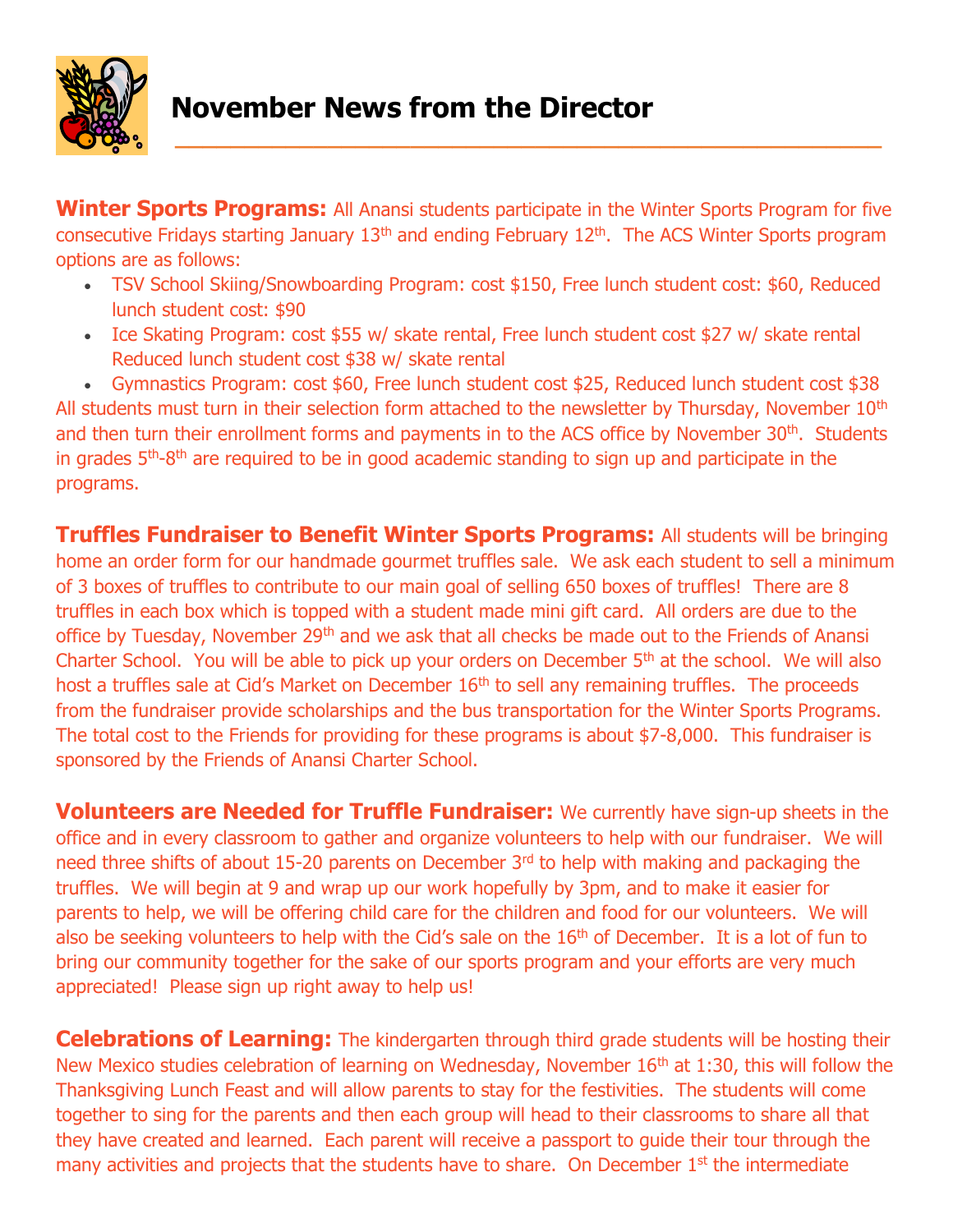

## **November News from the Director**

**Winter Sports Programs:** All Anansi students participate in the Winter Sports Program for five consecutive Fridays starting January  $13<sup>th</sup>$  and ending February  $12<sup>th</sup>$ . The ACS Winter Sports program options are as follows:

- TSV School Skiing/Snowboarding Program: cost \$150, Free lunch student cost: \$60, Reduced lunch student cost: \$90
- Ice Skating Program: cost \$55 w/ skate rental, Free lunch student cost \$27 w/ skate rental Reduced lunch student cost \$38 w/ skate rental

 Gymnastics Program: cost \$60, Free lunch student cost \$25, Reduced lunch student cost \$38 All students must turn in their selection form attached to the newsletter by Thursday, November 10<sup>th</sup> and then turn their enrollment forms and payments in to the ACS office by November 30<sup>th</sup>. Students in grades 5<sup>th</sup>-8<sup>th</sup> are required to be in good academic standing to sign up and participate in the programs.

**Truffles Fundraiser to Benefit Winter Sports Programs:** All students will be bringing home an order form for our handmade gourmet truffles sale. We ask each student to sell a minimum of 3 boxes of truffles to contribute to our main goal of selling 650 boxes of truffles! There are 8 truffles in each box which is topped with a student made mini gift card. All orders are due to the office by Tuesday, November 29<sup>th</sup> and we ask that all checks be made out to the Friends of Anansi Charter School. You will be able to pick up your orders on December 5th at the school. We will also host a truffles sale at Cid's Market on December 16<sup>th</sup> to sell any remaining truffles. The proceeds from the fundraiser provide scholarships and the bus transportation for the Winter Sports Programs. The total cost to the Friends for providing for these programs is about \$7-8,000. This fundraiser is sponsored by the Friends of Anansi Charter School.

**Volunteers are Needed for Truffle Fundraiser:** We currently have sign-up sheets in the office and in every classroom to gather and organize volunteers to help with our fundraiser. We will need three shifts of about 15-20 parents on December 3<sup>rd</sup> to help with making and packaging the truffles. We will begin at 9 and wrap up our work hopefully by 3pm, and to make it easier for parents to help, we will be offering child care for the children and food for our volunteers. We will also be seeking volunteers to help with the Cid's sale on the 16<sup>th</sup> of December. It is a lot of fun to bring our community together for the sake of our sports program and your efforts are very much appreciated! Please sign up right away to help us!

**Celebrations of Learning:** The kindergarten through third grade students will be hosting their New Mexico studies celebration of learning on Wednesday, November 16<sup>th</sup> at 1:30, this will follow the Thanksgiving Lunch Feast and will allow parents to stay for the festivities. The students will come together to sing for the parents and then each group will head to their classrooms to share all that they have created and learned. Each parent will receive a passport to guide their tour through the many activities and projects that the students have to share. On December 1<sup>st</sup> the intermediate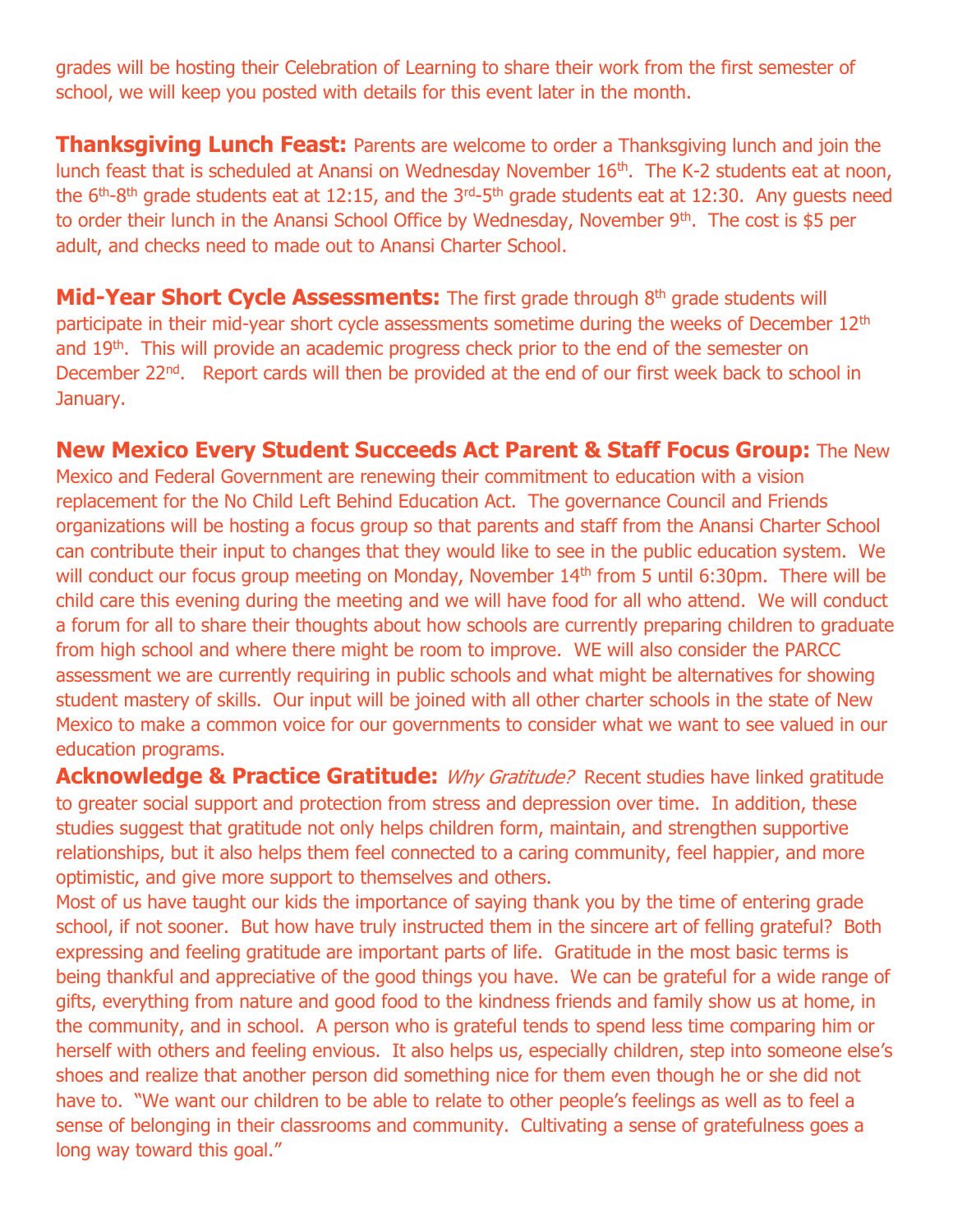grades will be hosting their Celebration of Learning to share their work from the first semester of school, we will keep you posted with details for this event later in the month.

**Thanksgiving Lunch Feast:** Parents are welcome to order a Thanksgiving lunch and join the lunch feast that is scheduled at Anansi on Wednesday November 16<sup>th</sup>. The K-2 students eat at noon, the  $6<sup>th</sup>$ -8<sup>th</sup> grade students eat at 12:15, and the 3<sup>rd</sup>-5<sup>th</sup> grade students eat at 12:30. Any guests need to order their lunch in the Anansi School Office by Wednesday, November 9<sup>th</sup>. The cost is \$5 per adult, and checks need to made out to Anansi Charter School.

**Mid-Year Short Cycle Assessments:** The first grade through 8<sup>th</sup> grade students will participate in their mid-year short cycle assessments sometime during the weeks of December 12<sup>th</sup> and 19<sup>th</sup>. This will provide an academic progress check prior to the end of the semester on December 22<sup>nd</sup>. Report cards will then be provided at the end of our first week back to school in January.

## **New Mexico Every Student Succeeds Act Parent & Staff Focus Group:** The New

Mexico and Federal Government are renewing their commitment to education with a vision replacement for the No Child Left Behind Education Act. The governance Council and Friends organizations will be hosting a focus group so that parents and staff from the Anansi Charter School can contribute their input to changes that they would like to see in the public education system. We will conduct our focus group meeting on Monday, November 14<sup>th</sup> from 5 until 6:30pm. There will be child care this evening during the meeting and we will have food for all who attend. We will conduct a forum for all to share their thoughts about how schools are currently preparing children to graduate from high school and where there might be room to improve. WE will also consider the PARCC assessment we are currently requiring in public schools and what might be alternatives for showing student mastery of skills. Our input will be joined with all other charter schools in the state of New Mexico to make a common voice for our governments to consider what we want to see valued in our education programs.

**Acknowledge & Practice Gratitude:** Why Gratitude? Recent studies have linked gratitude to greater social support and protection from stress and depression over time. In addition, these studies suggest that gratitude not only helps children form, maintain, and strengthen supportive relationships, but it also helps them feel connected to a caring community, feel happier, and more optimistic, and give more support to themselves and others.

Most of us have taught our kids the importance of saying thank you by the time of entering grade school, if not sooner. But how have truly instructed them in the sincere art of felling grateful? Both expressing and feeling gratitude are important parts of life. Gratitude in the most basic terms is being thankful and appreciative of the good things you have. We can be grateful for a wide range of gifts, everything from nature and good food to the kindness friends and family show us at home, in the community, and in school. A person who is grateful tends to spend less time comparing him or herself with others and feeling envious. It also helps us, especially children, step into someone else's shoes and realize that another person did something nice for them even though he or she did not have to. "We want our children to be able to relate to other people's feelings as well as to feel a sense of belonging in their classrooms and community. Cultivating a sense of gratefulness goes a long way toward this goal."